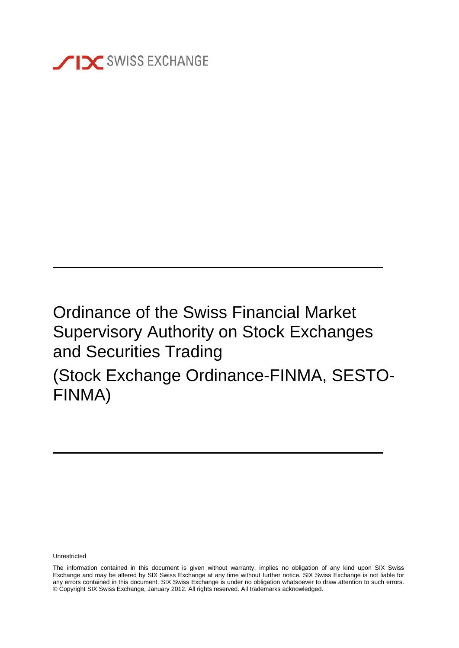

# Ordinance of the Swiss Financial Market Supervisory Authority on Stock Exchanges and Securities Trading (Stock Exchange Ordinance-FINMA, SESTO-FINMA)

Unrestricted

The information contained in this document is given without warranty, implies no obligation of any kind upon SIX Swiss Exchange and may be altered by SIX Swiss Exchange at any time without further notice. SIX Swiss Exchange is not liable for any errors contained in this document. SIX Swiss Exchange is under no obligation whatsoever to draw attention to such errors. © Copyright SIX Swiss Exchange, January 2012. All rights reserved. All trademarks acknowledged.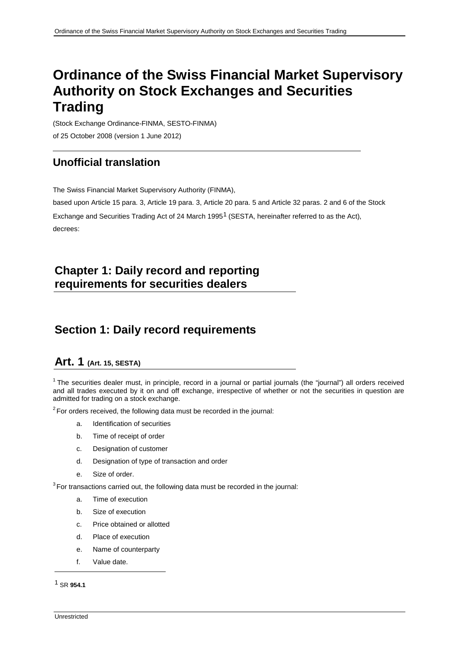## **Ordinance of the Swiss Financial Market Supervisory Authority on Stock Exchanges and Securities Trading**

(Stock Exchange Ordinance-FINMA, SESTO-FINMA) of 25 October 2008 (version 1 June 2012)

### **Unofficial translation**

The Swiss Financial Market Supervisory Authority (FINMA),

based upon Article 15 para. 3, Article 19 para. 3, Article 20 para. 5 and Article 32 paras. 2 and 6 of the Stock

Exchange and Securities Trading Act of 24 March [1](#page-1-0)995<sup>1</sup> (SESTA, hereinafter referred to as the Act), decrees:

## **Chapter 1: Daily record and reporting requirements for securities dealers**

### **Section 1: Daily record requirements**

#### **Art. 1 (Art. 15, SESTA)**

 $1$  The securities dealer must, in principle, record in a journal or partial journals (the "journal") all orders received and all trades executed by it on and off exchange, irrespective of whether or not the securities in question are admitted for trading on a stock exchange.

 $2$ For orders received, the following data must be recorded in the journal:

- a. Identification of securities
- b. Time of receipt of order
- c. Designation of customer
- d. Designation of type of transaction and order
- e. Size of order.

<sup>3</sup>For transactions carried out, the following data must be recorded in the journal:

- a. Time of execution
- b. Size of execution
- c. Price obtained or allotted
- d. Place of execution
- e. Name of counterparty
- f. Value date.

<span id="page-1-0"></span>1 SR **954.1**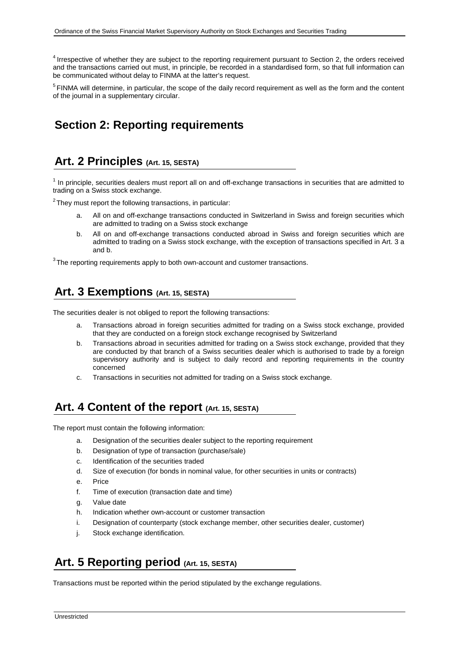<sup>4</sup> Irrespective of whether they are subject to the reporting requirement pursuant to Section 2, the orders received and the transactions carried out must, in principle, be recorded in a standardised form, so that full information can be communicated without delay to FINMA at the latter's request.

<sup>5</sup> FINMA will determine, in particular, the scope of the daily record requirement as well as the form and the content of the journal in a supplementary circular.

## **Section 2: Reporting requirements**

### **Art. 2 Principles (Art. 15, SESTA)**

 $<sup>1</sup>$  In principle, securities dealers must report all on and off-exchange transactions in securities that are admitted to</sup> trading on a Swiss stock exchange.

 $2$ They must report the following transactions, in particular:

- All on and off-exchange transactions conducted in Switzerland in Swiss and foreign securities which are admitted to trading on a Swiss stock exchange
- b. All on and off-exchange transactions conducted abroad in Swiss and foreign securities which are admitted to trading on a Swiss stock exchange, with the exception of transactions specified in Art. 3 a and b.

 $3$ The reporting requirements apply to both own-account and customer transactions.

### **Art. 3 Exemptions (Art. 15, SESTA)**

The securities dealer is not obliged to report the following transactions:

- a. Transactions abroad in foreign securities admitted for trading on a Swiss stock exchange, provided that they are conducted on a foreign stock exchange recognised by Switzerland
- b. Transactions abroad in securities admitted for trading on a Swiss stock exchange, provided that they are conducted by that branch of a Swiss securities dealer which is authorised to trade by a foreign supervisory authority and is subject to daily record and reporting requirements in the country concerned
- c. Transactions in securities not admitted for trading on a Swiss stock exchange.

### Art. 4 Content of the report (Art. 15, SESTA)

The report must contain the following information:

- a. Designation of the securities dealer subject to the reporting requirement
- b. Designation of type of transaction (purchase/sale)
- c. Identification of the securities traded
- d. Size of execution (for bonds in nominal value, for other securities in units or contracts)
- e. Price
- f. Time of execution (transaction date and time)
- g. Value date
- h. Indication whether own-account or customer transaction
- i. Designation of counterparty (stock exchange member, other securities dealer, customer)
- j. Stock exchange identification.

### **Art. 5 Reporting period (Art. 15, SESTA)**

Transactions must be reported within the period stipulated by the exchange regulations.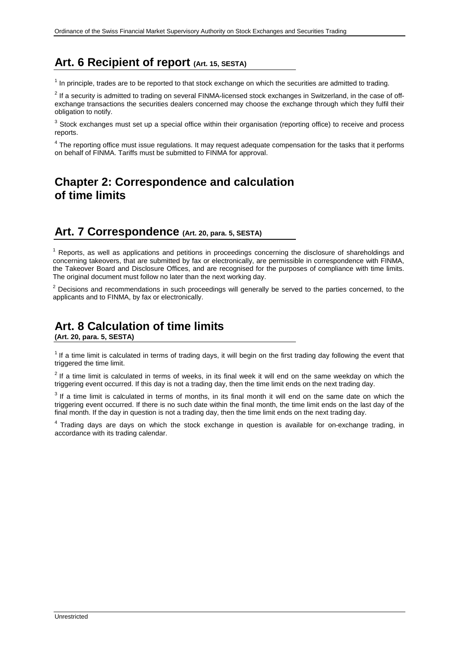## **Art. 6 Recipient of report (Art. 15, SESTA)**

 $1$  In principle, trades are to be reported to that stock exchange on which the securities are admitted to trading.

 $2$  If a security is admitted to trading on several FINMA-licensed stock exchanges in Switzerland, in the case of offexchange transactions the securities dealers concerned may choose the exchange through which they fulfil their obligation to notify.

<sup>3</sup> Stock exchanges must set up a special office within their organisation (reporting office) to receive and process reports.

<sup>4</sup> The reporting office must issue regulations. It may request adequate compensation for the tasks that it performs on behalf of FINMA. Tariffs must be submitted to FINMA for approval.

### **Chapter 2: Correspondence and calculation of time limits**

### **Art. 7 Correspondence (Art. 20, para. 5, SESTA)**

 $<sup>1</sup>$  Reports, as well as applications and petitions in proceedings concerning the disclosure of shareholdings and</sup> concerning takeovers, that are submitted by fax or electronically, are permissible in correspondence with FINMA, the Takeover Board and Disclosure Offices, and are recognised for the purposes of compliance with time limits. The original document must follow no later than the next working day.

<sup>2</sup> Decisions and recommendations in such proceedings will generally be served to the parties concerned, to the applicants and to FINMA, by fax or electronically.

## **Art. 8 Calculation of time limits**

**(Art. 20, para. 5, SESTA)**

 $1$  If a time limit is calculated in terms of trading days, it will begin on the first trading day following the event that triggered the time limit.

 $2$  If a time limit is calculated in terms of weeks, in its final week it will end on the same weekday on which the triggering event occurred. If this day is not a trading day, then the time limit ends on the next trading day.

 $3$  If a time limit is calculated in terms of months, in its final month it will end on the same date on which the triggering event occurred. If there is no such date within the final month, the time limit ends on the last day of the final month. If the day in question is not a trading day, then the time limit ends on the next trading day.

<sup>4</sup> Trading days are days on which the stock exchange in question is available for on-exchange trading, in accordance with its trading calendar.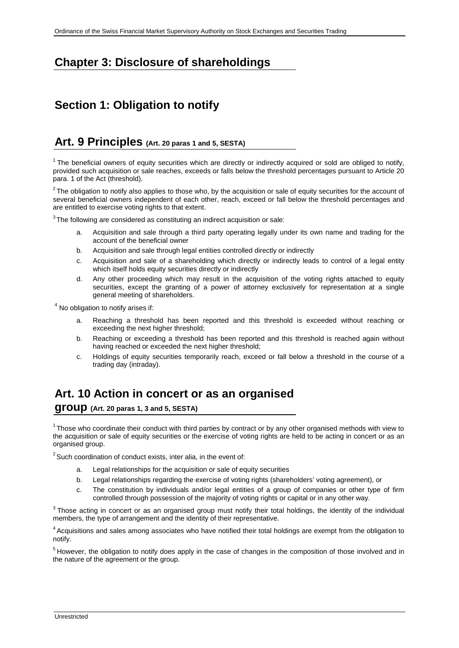## **Chapter 3: Disclosure of shareholdings**

## **Section 1: Obligation to notify**

#### **Art. 9 Principles (Art. 20 paras 1 and 5, SESTA)**

 $1$  The beneficial owners of equity securities which are directly or indirectly acquired or sold are obliged to notify, provided such acquisition or sale reaches, exceeds or falls below the threshold percentages pursuant to Article 20 para. 1 of the Act (threshold).

 $2$ The obligation to notify also applies to those who, by the acquisition or sale of equity securities for the account of several beneficial owners independent of each other, reach, exceed or fall below the threshold percentages and are entitled to exercise voting rights to that extent.

 $3$ The following are considered as constituting an indirect acquisition or sale:

- a. Acquisition and sale through a third party operating legally under its own name and trading for the account of the beneficial owner
- b. Acquisition and sale through legal entities controlled directly or indirectly
- c. Acquisition and sale of a shareholding which directly or indirectly leads to control of a legal entity which itself holds equity securities directly or indirectly
- d. Any other proceeding which may result in the acquisition of the voting rights attached to equity securities, except the granting of a power of attorney exclusively for representation at a single general meeting of shareholders.

<sup>4</sup> No obligation to notify arises if:

- a. Reaching a threshold has been reported and this threshold is exceeded without reaching or exceeding the next higher threshold;
- b. Reaching or exceeding a threshold has been reported and this threshold is reached again without having reached or exceeded the next higher threshold;
- c. Holdings of equity securities temporarily reach, exceed or fall below a threshold in the course of a trading day (intraday).

### **Art. 10 Action in concert or as an organised**

**group (Art. 20 paras 1, 3 and 5, SESTA)**

 $1$ Those who coordinate their conduct with third parties by contract or by any other organised methods with view to the acquisition or sale of equity securities or the exercise of voting rights are held to be acting in concert or as an organised group.

 $2$  Such coordination of conduct exists, inter alia, in the event of:

- a. Legal relationships for the acquisition or sale of equity securities
- b. Legal relationships regarding the exercise of voting rights (shareholders' voting agreement), or
- c. The constitution by individuals and/or legal entities of a group of companies or other type of firm controlled through possession of the majority of voting rights or capital or in any other way.

<sup>3</sup> Those acting in concert or as an organised group must notify their total holdings, the identity of the individual members, the type of arrangement and the identity of their representative.

<sup>4</sup> Acquisitions and sales among associates who have notified their total holdings are exempt from the obligation to notify.

<sup>5</sup> However, the obligation to notify does apply in the case of changes in the composition of those involved and in the nature of the agreement or the group.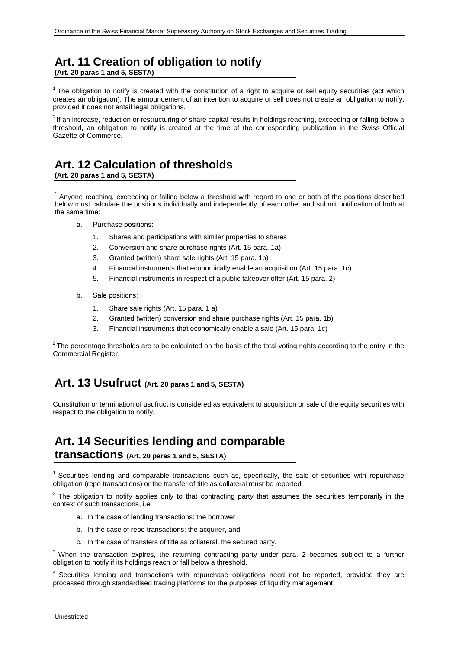## **Art. 11 Creation of obligation to notify**

**(Art. 20 paras 1 and 5, SESTA)**

 $1$  The obligation to notify is created with the constitution of a right to acquire or sell equity securities (act which creates an obligation). The announcement of an intention to acquire or sell does not create an obligation to notify, provided it does not entail legal obligations.

<sup>2</sup> If an increase, reduction or restructuring of share capital results in holdings reaching, exceeding or falling below a threshold, an obligation to notify is created at the time of the corresponding publication in the Swiss Official Gazette of Commerce.

## **Art. 12 Calculation of thresholds**

**(Art. 20 paras 1 and 5, SESTA)**

1 Anyone reaching, exceeding or falling below a threshold with regard to one or both of the positions described below must calculate the positions individually and independently of each other and submit notification of both at the same time:

- a. Purchase positions:
	- 1. Shares and participations with similar properties to shares
	- 2. Conversion and share purchase rights (Art. 15 para. 1a)
	- 3. Granted (written) share sale rights (Art. 15 para. 1b)
	- 4. Financial instruments that economically enable an acquisition (Art. 15 para. 1c)
	- 5. Financial instruments in respect of a public takeover offer (Art. 15 para. 2)
- b. Sale positions:
	- 1. Share sale rights (Art. 15 para. 1 a)
	- 2. Granted (written) conversion and share purchase rights (Art. 15 para. 1b)
	- 3. Financial instruments that economically enable a sale (Art. 15 para. 1c)

 $2$ The percentage thresholds are to be calculated on the basis of the total voting rights according to the entry in the Commercial Register.

### **Art. 13 Usufruct (Art. 20 paras 1 and 5, SESTA)**

Constitution or termination of usufruct is considered as equivalent to acquisition or sale of the equity securities with respect to the obligation to notify.

## **Art. 14 Securities lending and comparable**

**transactions (Art. 20 paras 1 and 5, SESTA)**

 $1$  Securities lending and comparable transactions such as, specifically, the sale of securities with repurchase obligation (repo transactions) or the transfer of title as collateral must be reported.

 $2$  The obligation to notify applies only to that contracting party that assumes the securities temporarily in the context of such transactions, i.e.

- a. In the case of lending transactions: the borrower
- b. In the case of repo transactions: the acquirer, and
- c. In the case of transfers of title as collateral: the secured party.

<sup>3</sup> When the transaction expires, the returning contracting party under para. 2 becomes subject to a further obligation to notify if its holdings reach or fall below a threshold.

<sup>4</sup> Securities lending and transactions with repurchase obligations need not be reported, provided they are processed through standardised trading platforms for the purposes of liquidity management.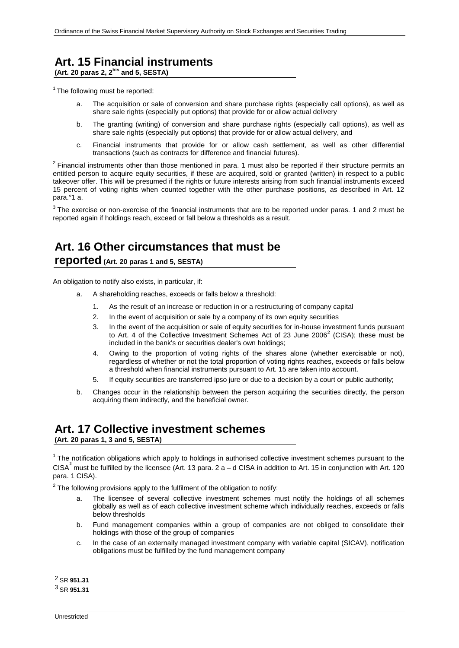## **Art. 15 Financial instruments**

**(Art. 20 paras 2, 2bis and 5, SESTA)**

 $1$  The following must be reported:

- a. The acquisition or sale of conversion and share purchase rights (especially call options), as well as share sale rights (especially put options) that provide for or allow actual delivery
- b. The granting (writing) of conversion and share purchase rights (especially call options), as well as share sale rights (especially put options) that provide for or allow actual delivery, and
- c. Financial instruments that provide for or allow cash settlement, as well as other differential transactions (such as contracts for difference and financial futures).

 $2$  Financial instruments other than those mentioned in para. 1 must also be reported if their structure permits an entitled person to acquire equity securities, if these are acquired, sold or granted (written) in respect to a public takeover offer. This will be presumed if the rights or future interests arising from such financial instruments exceed 15 percent of voting rights when counted together with the other purchase positions, as described in Art. 12 para.°1 a.

 $3$  The exercise or non-exercise of the financial instruments that are to be reported under paras. 1 and 2 must be reported again if holdings reach, exceed or fall below a thresholds as a result.

## **Art. 16 Other circumstances that must be**

#### **reported (Art. 20 paras 1 and 5, SESTA)**

An obligation to notify also exists, in particular, if:

- a. A shareholding reaches, exceeds or falls below a threshold:
	- 1. As the result of an increase or reduction in or a restructuring of company capital
	- 2. In the event of acquisition or sale by a company of its own equity securities
	- 3. In the event of the acquisition or sale of equity securities for in-house investment funds pursuant to Art. 4 of the Collective Investment Schemes Act of [2](#page-6-0)3 June  $2006<sup>2</sup>$  (CISA); these must be included in the bank's or securities dealer's own holdings;
	- 4. Owing to the proportion of voting rights of the shares alone (whether exercisable or not), regardless of whether or not the total proportion of voting rights reaches, exceeds or falls below a threshold when financial instruments pursuant to Art. 15 are taken into account.
	- 5. If equity securities are transferred ipso jure or due to a decision by a court or public authority;
- b. Changes occur in the relationship between the person acquiring the securities directly, the person acquiring them indirectly, and the beneficial owner.

#### **Art. 17 Collective investment schemes (Art. 20 paras 1, 3 and 5, SESTA)**

 $1$  The notification obligations which apply to holdings in authorised collective investment schemes pursuant to the CISA<sup>[3](#page-6-1)</sup> must be fulfilled by the licensee (Art. 13 para. 2 a – d CISA in addition to Art. 15 in conjunction with Art. 120 para. 1 CISA).

 $2$  The following provisions apply to the fulfilment of the obligation to notify:

- a. The licensee of several collective investment schemes must notify the holdings of all schemes globally as well as of each collective investment scheme which individually reaches, exceeds or falls below thresholds
- b. Fund management companies within a group of companies are not obliged to consolidate their holdings with those of the group of companies
- c. In the case of an externally managed investment company with variable capital (SICAV), notification obligations must be fulfilled by the fund management company

<span id="page-6-0"></span><sup>2</sup> SR **951.31**

<span id="page-6-1"></span><sup>3</sup> SR **951.31**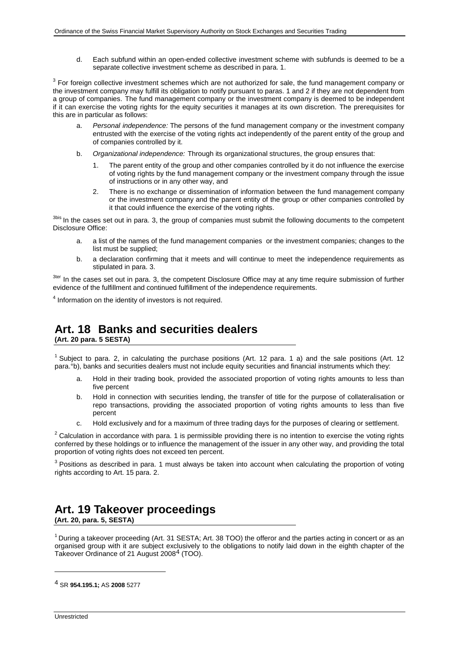d. Each subfund within an open-ended collective investment scheme with subfunds is deemed to be a separate collective investment scheme as described in para. 1.

<sup>3</sup> For foreign collective investment schemes which are not authorized for sale, the fund management company or the investment company may fulfill its obligation to notify pursuant to paras. 1 and 2 if they are not dependent from a group of companies. The fund management company or the investment company is deemed to be independent if it can exercise the voting rights for the equity securities it manages at its own discretion. The prerequisites for this are in particular as follows:

- a. *Personal independence:* The persons of the fund management company or the investment company entrusted with the exercise of the voting rights act independently of the parent entity of the group and of companies controlled by it.
- b. *Organizational independence:* Through its organizational structures, the group ensures that:
	- 1. The parent entity of the group and other companies controlled by it do not influence the exercise of voting rights by the fund management company or the investment company through the issue of instructions or in any other way, and
	- 2. There is no exchange or dissemination of information between the fund management company or the investment company and the parent entity of the group or other companies controlled by it that could influence the exercise of the voting rights.

<sup>3bis</sup> In the cases set out in para. 3, the group of companies must submit the following documents to the competent Disclosure Office:

- a. a list of the names of the fund management companies or the investment companies; changes to the list must be supplied;
- b. a declaration confirming that it meets and will continue to meet the independence requirements as stipulated in para. 3.

<sup>3ter</sup> In the cases set out in para. 3, the competent Disclosure Office may at any time require submission of further evidence of the fulfillment and continued fulfillment of the independence requirements.

<sup>4</sup> Information on the identity of investors is not required.

## **Art. 18 Banks and securities dealers**

**(Art. 20 para. 5 SESTA)**

<sup>1</sup> Subject to para. 2, in calculating the purchase positions (Art. 12 para. 1 a) and the sale positions (Art. 12 para.°b), banks and securities dealers must not include equity securities and financial instruments which they:

- a. Hold in their trading book, provided the associated proportion of voting rights amounts to less than five percent
- b. Hold in connection with securities lending, the transfer of title for the purpose of collateralisation or repo transactions, providing the associated proportion of voting rights amounts to less than five percent
- c. Hold exclusively and for a maximum of three trading days for the purposes of clearing or settlement.

 $2$  Calculation in accordance with para. 1 is permissible providing there is no intention to exercise the voting rights conferred by these holdings or to influence the management of the issuer in any other way, and providing the total proportion of voting rights does not exceed ten percent.

 $3$  Positions as described in para. 1 must always be taken into account when calculating the proportion of voting rights according to Art. 15 para. 2.

## **Art. 19 Takeover proceedings**

**(Art. 20, para. 5, SESTA)**

<sup>1</sup> During a takeover proceeding (Art. 31 SESTA; Art. 38 TOO) the offeror and the parties acting in concert or as an organised group with it are subject exclusively to the obligations to notify laid down in the eighth chapter of the Takeover Ordinance of 21 August 2008<sup>[4](#page-7-0)</sup> (TOO).

<span id="page-7-0"></span>4 SR **954.195.1;** AS **2008** 5277

Unrestricted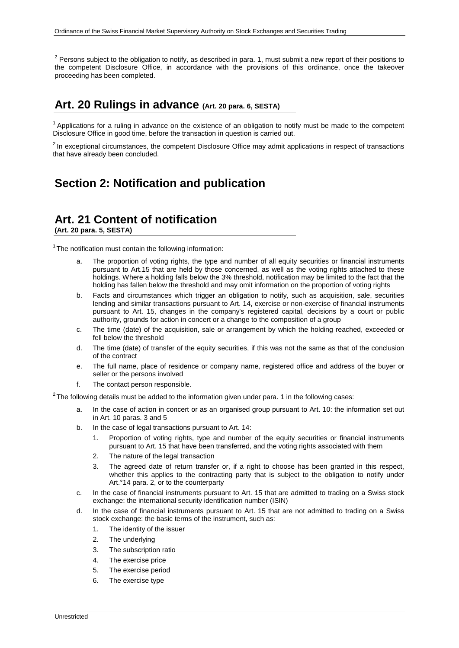$2$  Persons subject to the obligation to notify, as described in para. 1, must submit a new report of their positions to the competent Disclosure Office, in accordance with the provisions of this ordinance, once the takeover proceeding has been completed.

### **Art. 20 Rulings in advance (Art. 20 para. 6, SESTA)**

 $<sup>1</sup>$  Applications for a ruling in advance on the existence of an obligation to notify must be made to the competent</sup> Disclosure Office in good time, before the transaction in question is carried out.

<sup>2</sup> In exceptional circumstances, the competent Disclosure Office may admit applications in respect of transactions that have already been concluded.

## **Section 2: Notification and publication**

## **Art. 21 Content of notification**

**(Art. 20 para. 5, SESTA)**

 $1$ <sup>1</sup> The notification must contain the following information:

- a. The proportion of voting rights, the type and number of all equity securities or financial instruments pursuant to Art.15 that are held by those concerned, as well as the voting rights attached to these holdings. Where a holding falls below the 3% threshold, notification may be limited to the fact that the holding has fallen below the threshold and may omit information on the proportion of voting rights
- b. Facts and circumstances which trigger an obligation to notify, such as acquisition, sale, securities lending and similar transactions pursuant to Art. 14, exercise or non-exercise of financial instruments pursuant to Art. 15, changes in the company's registered capital, decisions by a court or public authority, grounds for action in concert or a change to the composition of a group
- c. The time (date) of the acquisition, sale or arrangement by which the holding reached, exceeded or fell below the threshold
- d. The time (date) of transfer of the equity securities, if this was not the same as that of the conclusion of the contract
- e. The full name, place of residence or company name, registered office and address of the buyer or seller or the persons involved
- f. The contact person responsible.

 $2$ The following details must be added to the information given under para. 1 in the following cases:

- a. In the case of action in concert or as an organised group pursuant to Art. 10: the information set out in Art. 10 paras. 3 and 5
- b. In the case of legal transactions pursuant to Art. 14:
	- 1. Proportion of voting rights, type and number of the equity securities or financial instruments pursuant to Art. 15 that have been transferred, and the voting rights associated with them
	- 2. The nature of the legal transaction
	- 3. The agreed date of return transfer or, if a right to choose has been granted in this respect, whether this applies to the contracting party that is subject to the obligation to notify under Art.°14 para. 2, or to the counterparty
- c. In the case of financial instruments pursuant to Art. 15 that are admitted to trading on a Swiss stock exchange: the international security identification number (ISIN)
- d. In the case of financial instruments pursuant to Art. 15 that are not admitted to trading on a Swiss stock exchange: the basic terms of the instrument, such as:
	- 1. The identity of the issuer
	- 2. The underlying
	- 3. The subscription ratio
	- 4. The exercise price
	- 5. The exercise period
	- 6. The exercise type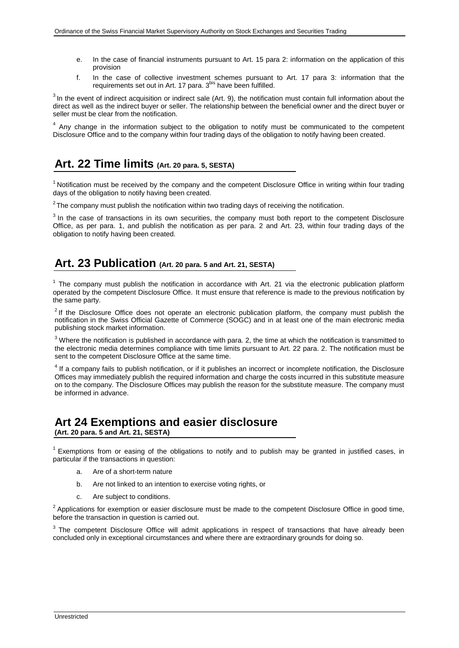- e. In the case of financial instruments pursuant to Art. 15 para 2: information on the application of this provision
- f. In the case of collective investment schemes pursuant to Art. 17 para 3: information that the requirements set out in Art. 17 para. 3<sup>bis</sup> have been fulfilled.

 $3$  In the event of indirect acquisition or indirect sale (Art. 9), the notification must contain full information about the direct as well as the indirect buyer or seller. The relationship between the beneficial owner and the direct buyer or seller must be clear from the notification.

<sup>4</sup> Any change in the information subject to the obligation to notify must be communicated to the competent Disclosure Office and to the company within four trading days of the obligation to notify having been created.

### **Art. 22 Time limits (Art. 20 para. 5, SESTA)**

<sup>1</sup> Notification must be received by the company and the competent Disclosure Office in writing within four trading days of the obligation to notify having been created.

 $2$ The company must publish the notification within two trading days of receiving the notification.

<sup>3</sup> In the case of transactions in its own securities, the company must both report to the competent Disclosure Office, as per para. 1, and publish the notification as per para. 2 and Art. 23, within four trading days of the obligation to notify having been created.

### **Art. 23 Publication (Art. 20 para. 5 and Art. 21, SESTA)**

 $<sup>1</sup>$  The company must publish the notification in accordance with Art. 21 via the electronic publication platform</sup> operated by the competent Disclosure Office. It must ensure that reference is made to the previous notification by the same party.

 $2$ If the Disclosure Office does not operate an electronic publication platform, the company must publish the notification in the Swiss Official Gazette of Commerce (SOGC) and in at least one of the main electronic media publishing stock market information.

 $3$  Where the notification is published in accordance with para. 2, the time at which the notification is transmitted to the electronic media determines compliance with time limits pursuant to Art. 22 para. 2. The notification must be sent to the competent Disclosure Office at the same time.

<sup>4</sup> If a company fails to publish notification, or if it publishes an incorrect or incomplete notification, the Disclosure Offices may immediately publish the required information and charge the costs incurred in this substitute measure on to the company. The Disclosure Offices may publish the reason for the substitute measure. The company must be informed in advance.

#### **Art 24 Exemptions and easier disclosure (Art. 20 para. 5 and Art. 21, SESTA)**

 $<sup>1</sup>$  Exemptions from or easing of the obligations to notify and to publish may be granted in justified cases, in</sup> particular if the transactions in question:

- a. Are of a short-term nature
- b. Are not linked to an intention to exercise voting rights, or
- c. Are subject to conditions.

 $2$  Applications for exemption or easier disclosure must be made to the competent Disclosure Office in good time, before the transaction in question is carried out.

<sup>3</sup> The competent Disclosure Office will admit applications in respect of transactions that have already been concluded only in exceptional circumstances and where there are extraordinary grounds for doing so.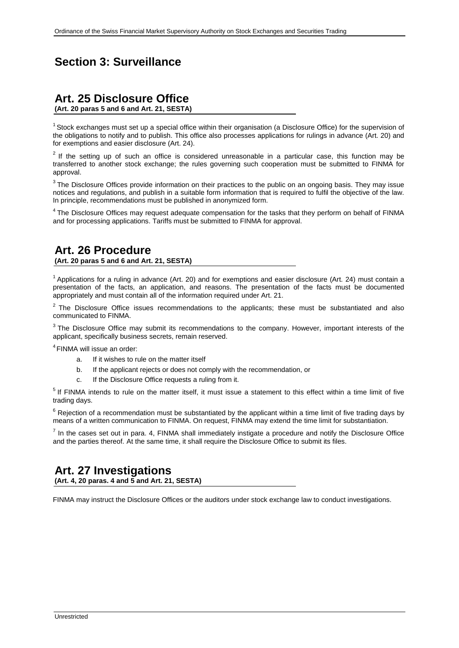## **Section 3: Surveillance**

### **Art. 25 Disclosure Office**

**(Art. 20 paras 5 and 6 and Art. 21, SESTA)**

 $1$  Stock exchanges must set up a special office within their organisation (a Disclosure Office) for the supervision of the obligations to notify and to publish. This office also processes applications for rulings in advance (Art. 20) and for exemptions and easier disclosure (Art. 24).

 $2$  If the setting up of such an office is considered unreasonable in a particular case, this function may be transferred to another stock exchange; the rules governing such cooperation must be submitted to FINMA for approval.

<sup>3</sup> The Disclosure Offices provide information on their practices to the public on an ongoing basis. They may issue notices and regulations, and publish in a suitable form information that is required to fulfil the objective of the law. In principle, recommendations must be published in anonymized form.

<sup>4</sup> The Disclosure Offices may request adequate compensation for the tasks that they perform on behalf of FINMA and for processing applications. Tariffs must be submitted to FINMA for approval.

## **Art. 26 Procedure**

**(Art. 20 paras 5 and 6 and Art. 21, SESTA)**

 $1$  Applications for a ruling in advance (Art. 20) and for exemptions and easier disclosure (Art. 24) must contain a presentation of the facts, an application, and reasons. The presentation of the facts must be documented appropriately and must contain all of the information required under Art. 21.

 $2$  The Disclosure Office issues recommendations to the applicants; these must be substantiated and also communicated to FINMA.

<sup>3</sup> The Disclosure Office may submit its recommendations to the company. However, important interests of the applicant, specifically business secrets, remain reserved.

4FINMA will issue an order:

- a. If it wishes to rule on the matter itself
- b. If the applicant rejects or does not comply with the recommendation, or
- c. If the Disclosure Office requests a ruling from it.

<sup>5</sup> If FINMA intends to rule on the matter itself, it must issue a statement to this effect within a time limit of five trading days.

 $6$  Rejection of a recommendation must be substantiated by the applicant within a time limit of five trading days by means of a written communication to FINMA. On request, FINMA may extend the time limit for substantiation.

 $<sup>7</sup>$  In the cases set out in para. 4, FINMA shall immediately instigate a procedure and notify the Disclosure Office</sup> and the parties thereof. At the same time, it shall require the Disclosure Office to submit its files.

### **Art. 27 Investigations**

**(Art. 4, 20 paras. 4 and 5 and Art. 21, SESTA)**

FINMA may instruct the Disclosure Offices or the auditors under stock exchange law to conduct investigations.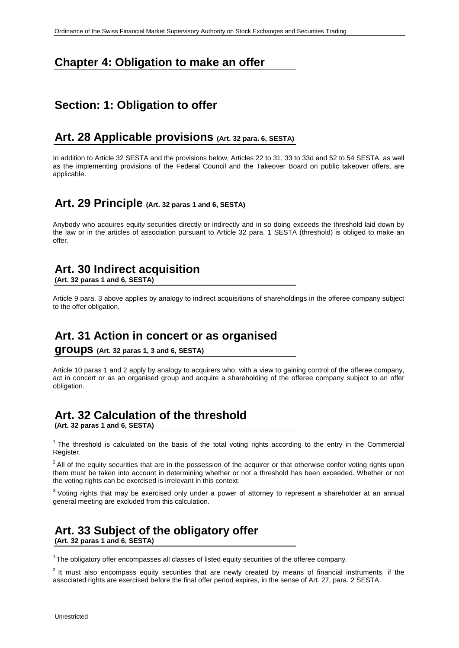## **Chapter 4: Obligation to make an offer**

### **Section: 1: Obligation to offer**

### **Art. 28 Applicable provisions (Art. 32 para. 6, SESTA)**

In addition to Article 32 SESTA and the provisions below, Articles 22 to 31, 33 to 33d and 52 to 54 SESTA, as well as the implementing provisions of the Federal Council and the Takeover Board on public takeover offers, are applicable.

### **Art. 29 Principle (Art. 32 paras 1 and 6, SESTA)**

Anybody who acquires equity securities directly or indirectly and in so doing exceeds the threshold laid down by the law or in the articles of association pursuant to Article 32 para. 1 SESTA (threshold) is obliged to make an offer.

## **Art. 30 Indirect acquisition**

**(Art. 32 paras 1 and 6, SESTA)**

Article 9 para. 3 above applies by analogy to indirect acquisitions of shareholdings in the offeree company subject to the offer obligation.

### **Art. 31 Action in concert or as organised**

**groups (Art. 32 paras 1, 3 and 6, SESTA)**

Article 10 paras 1 and 2 apply by analogy to acquirers who, with a view to gaining control of the offeree company, act in concert or as an organised group and acquire a shareholding of the offeree company subject to an offer obligation.

## **Art. 32 Calculation of the threshold**

**(Art. 32 paras 1 and 6, SESTA)**

 $1$  The threshold is calculated on the basis of the total voting rights according to the entry in the Commercial Register.

 $2$  All of the equity securities that are in the possession of the acquirer or that otherwise confer voting rights upon them must be taken into account in determining whether or not a threshold has been exceeded. Whether or not the voting rights can be exercised is irrelevant in this context.

 $3$  Voting rights that may be exercised only under a power of attorney to represent a shareholder at an annual general meeting are excluded from this calculation.

#### **Art. 33 Subject of the obligatory offer (Art. 32 paras 1 and 6, SESTA)**

<sup>1</sup>The obligatory offer encompasses all classes of listed equity securities of the offeree company.

 $2$  It must also encompass equity securities that are newly created by means of financial instruments, if the associated rights are exercised before the final offer period expires, in the sense of Art. 27, para. 2 SESTA.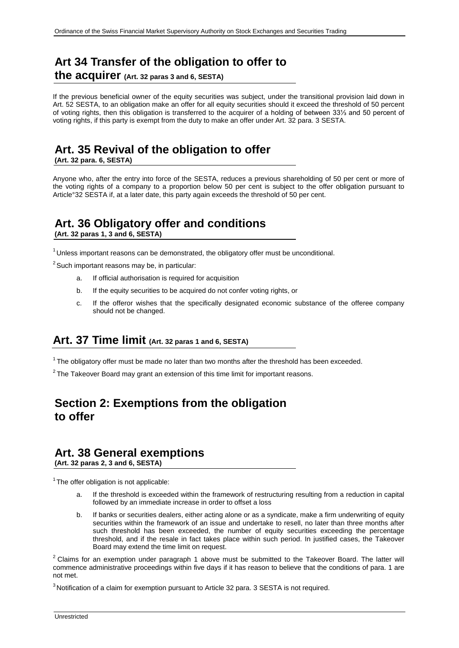## **Art 34 Transfer of the obligation to offer to**

**the acquirer (Art. 32 paras 3 and 6, SESTA)**

If the previous beneficial owner of the equity securities was subject, under the transitional provision laid down in Art. 52 SESTA, to an obligation make an offer for all equity securities should it exceed the threshold of 50 percent of voting rights, then this obligation is transferred to the acquirer of a holding of between 33⅓ and 50 percent of voting rights, if this party is exempt from the duty to make an offer under Art. 32 para. 3 SESTA.

## **Art. 35 Revival of the obligation to offer**

**(Art. 32 para. 6, SESTA)**

Anyone who, after the entry into force of the SESTA, reduces a previous shareholding of 50 per cent or more of the voting rights of a company to a proportion below 50 per cent is subject to the offer obligation pursuant to Article°32 SESTA if, at a later date, this party again exceeds the threshold of 50 per cent.

## **Art. 36 Obligatory offer and conditions**

**(Art. 32 paras 1, 3 and 6, SESTA)**

 $1$ Unless important reasons can be demonstrated, the obligatory offer must be unconditional.

 $2$  Such important reasons may be, in particular:

- a. If official authorisation is required for acquisition
- b. If the equity securities to be acquired do not confer voting rights, or
- c. If the offeror wishes that the specifically designated economic substance of the offeree company should not be changed.

#### **Art. 37 Time limit (Art. 32 paras 1 and 6, SESTA)**

 $1$  The obligatory offer must be made no later than two months after the threshold has been exceeded.

 $2$  The Takeover Board may grant an extension of this time limit for important reasons.

### **Section 2: Exemptions from the obligation to offer**

### **Art. 38 General exemptions**

**(Art. 32 paras 2, 3 and 6, SESTA)**

 $1$ The offer obligation is not applicable:

- a. If the threshold is exceeded within the framework of restructuring resulting from a reduction in capital followed by an immediate increase in order to offset a loss
- b. If banks or securities dealers, either acting alone or as a syndicate, make a firm underwriting of equity securities within the framework of an issue and undertake to resell, no later than three months after such threshold has been exceeded, the number of equity securities exceeding the percentage threshold, and if the resale in fact takes place within such period. In justified cases, the Takeover Board may extend the time limit on request.

 $2$  Claims for an exemption under paragraph 1 above must be submitted to the Takeover Board. The latter will commence administrative proceedings within five days if it has reason to believe that the conditions of para. 1 are not met.

 $3$  Notification of a claim for exemption pursuant to Article 32 para. 3 SESTA is not required.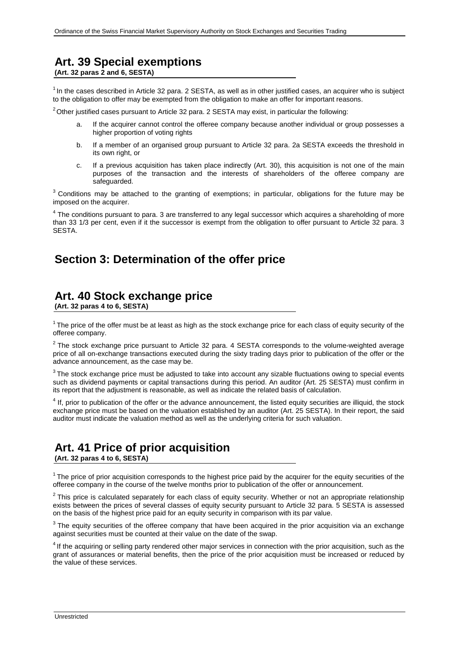## **Art. 39 Special exemptions**

**(Art. 32 paras 2 and 6, SESTA)**

 $1$ In the cases described in Article 32 para. 2 SESTA, as well as in other justified cases, an acquirer who is subject to the obligation to offer may be exempted from the obligation to make an offer for important reasons.

 $2$  Other justified cases pursuant to Article 32 para. 2 SESTA may exist, in particular the following:

- a. If the acquirer cannot control the offeree company because another individual or group possesses a higher proportion of voting rights
- b. If a member of an organised group pursuant to Article 32 para. 2a SESTA exceeds the threshold in its own right, or
- c. If a previous acquisition has taken place indirectly (Art. 30), this acquisition is not one of the main purposes of the transaction and the interests of shareholders of the offeree company are safeguarded.

<sup>3</sup> Conditions may be attached to the granting of exemptions; in particular, obligations for the future may be imposed on the acquirer.

<sup>4</sup> The conditions pursuant to para. 3 are transferred to any legal successor which acquires a shareholding of more than 33 1/3 per cent, even if it the successor is exempt from the obligation to offer pursuant to Article 32 para. 3 SESTA.

### **Section 3: Determination of the offer price**

## **Art. 40 Stock exchange price**

**(Art. 32 paras 4 to 6, SESTA)**

<sup>1</sup> The price of the offer must be at least as high as the stock exchange price for each class of equity security of the offeree company.

<sup>2</sup> The stock exchange price pursuant to Article 32 para. 4 SESTA corresponds to the volume-weighted average price of all on-exchange transactions executed during the sixty trading days prior to publication of the offer or the advance announcement, as the case may be.

 $3$  The stock exchange price must be adjusted to take into account any sizable fluctuations owing to special events such as dividend payments or capital transactions during this period. An auditor (Art. 25 SESTA) must confirm in its report that the adjustment is reasonable, as well as indicate the related basis of calculation.

<sup>4</sup> If, prior to publication of the offer or the advance announcement, the listed equity securities are illiquid, the stock exchange price must be based on the valuation established by an auditor (Art. 25 SESTA). In their report, the said auditor must indicate the valuation method as well as the underlying criteria for such valuation.

#### **Art. 41 Price of prior acquisition (Art. 32 paras 4 to 6, SESTA)**

<sup>1</sup> The price of prior acquisition corresponds to the highest price paid by the acquirer for the equity securities of the offeree company in the course of the twelve months prior to publication of the offer or announcement.

 $2$  This price is calculated separately for each class of equity security. Whether or not an appropriate relationship exists between the prices of several classes of equity security pursuant to Article 32 para. 5 SESTA is assessed on the basis of the highest price paid for an equity security in comparison with its par value.

<sup>3</sup> The equity securities of the offeree company that have been acquired in the prior acquisition via an exchange against securities must be counted at their value on the date of the swap.

<sup>4</sup> If the acquiring or selling party rendered other major services in connection with the prior acquisition, such as the grant of assurances or material benefits, then the price of the prior acquisition must be increased or reduced by the value of these services.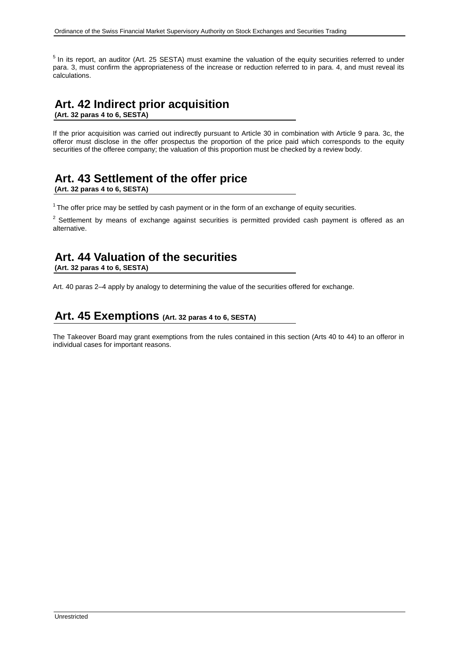<sup>5</sup> In its report, an auditor (Art. 25 SESTA) must examine the valuation of the equity securities referred to under para. 3, must confirm the appropriateness of the increase or reduction referred to in para. 4, and must reveal its calculations.

#### **Art. 42 Indirect prior acquisition (Art. 32 paras 4 to 6, SESTA)**

If the prior acquisition was carried out indirectly pursuant to Article 30 in combination with Article 9 para. 3c, the offeror must disclose in the offer prospectus the proportion of the price paid which corresponds to the equity securities of the offeree company; the valuation of this proportion must be checked by a review body.

## **Art. 43 Settlement of the offer price**

**(Art. 32 paras 4 to 6, SESTA)**

 $1$ <sup>1</sup> The offer price may be settled by cash payment or in the form of an exchange of equity securities.

 $2$  Settlement by means of exchange against securities is permitted provided cash payment is offered as an alternative.

## **Art. 44 Valuation of the securities**

**(Art. 32 paras 4 to 6, SESTA)**

Art. 40 paras 2–4 apply by analogy to determining the value of the securities offered for exchange.

### **Art. 45 Exemptions (Art. 32 paras 4 to 6, SESTA)**

The Takeover Board may grant exemptions from the rules contained in this section (Arts 40 to 44) to an offeror in individual cases for important reasons.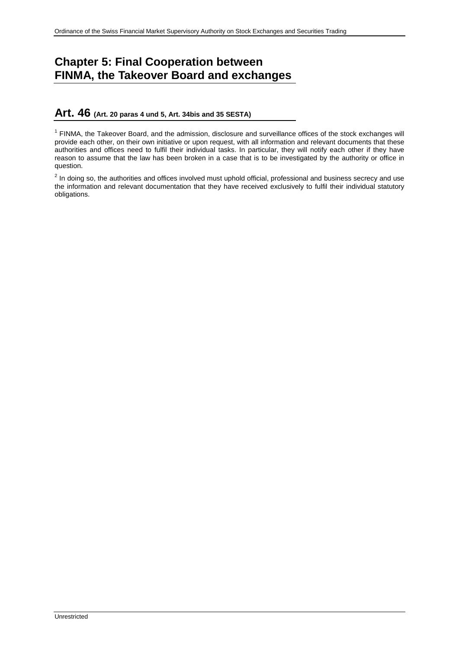## **Chapter 5: Final Cooperation between FINMA, the Takeover Board and exchanges**

#### **Art. 46 (Art. 20 paras 4 und 5, Art. 34bis and 35 SESTA)**

 $1$  FINMA, the Takeover Board, and the admission, disclosure and surveillance offices of the stock exchanges will provide each other, on their own initiative or upon request, with all information and relevant documents that these authorities and offices need to fulfil their individual tasks. In particular, they will notify each other if they have reason to assume that the law has been broken in a case that is to be investigated by the authority or office in question.

 $2$  In doing so, the authorities and offices involved must uphold official, professional and business secrecy and use the information and relevant documentation that they have received exclusively to fulfil their individual statutory obligations.